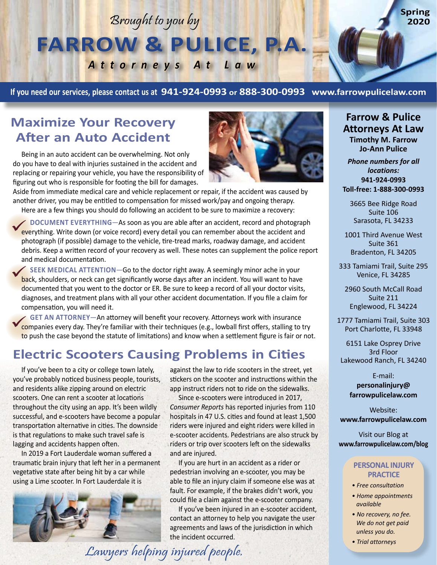# Brought to you by **FARROW & PULICE, P.A.**

*Attorneys At Law*

**If you need our services, please contact us at 941-924-0993 or 888-300-0993 www.farrowpulicelaw.com**

#### **Maximize Your Recovery After an Auto Accident**

Being in an auto accident can be overwhelming. Not only do you have to deal with injuries sustained in the accident and replacing or repairing your vehicle, you have the responsibility of figuring out who is responsible for footing the bill for damages.

Aside from immediate medical care and vehicle replacement or repair, if the accident was caused by another driver, you may be entitled to compensation for missed work/pay and ongoing therapy. Here are a few things you should do following an accident to be sure to maximize a recovery:

**DOCUMENT EVERYTHING**—As soon as you are able after an accident, record and photograph **EXECUMENT EVERYTHING—As soon as you are able after an accident, record and photograp**<br>everything. Write down (or voice record) every detail you can remember about the accident and photograph (if possible) damage to the vehicle, tire-tread marks, roadway damage, and accident debris. Keep a written record of your recovery as well. These notes can supplement the police report and medical documentation.

**SEEK MEDICAL ATTENTION**—Go to the doctor right away. A seemingly minor ache in your SEEK MEDICAL ATTENTION-Go to the doctor right away. A seemingly minor ache in your<br>back, shoulders, or neck can get significantly worse days after an incident. You will want to have documented that you went to the doctor or ER. Be sure to keep a record of all your doctor visits, diagnoses, and treatment plans with all your other accident documentation. If you file a claim for compensation, you will need it.

**GET AN ATTORNEY**—An attorney will benefit your recovery. Attorneys work with insurance **COMPANIES COMPANIES EVALUATION ATTORNEY—An attorney will benefit your recovery. Attorneys work with insurance**<br> **Companies every day.** They're familiar with their techniques (e.g., lowball first offers, stalling to try to push the case beyond the statute of limitations) and know when a settlement figure is fair or not.

#### **Electric Scooters Causing Problems in Cities**

If you've been to a city or college town lately, you've probably noticed business people, tourists, and residents alike zipping around on electric scooters. One can rent a scooter at locations throughout the city using an app. It's been wildly successful, and e-scooters have become a popular transportation alternative in cities. The downside is that regulations to make such travel safe is lagging and accidents happen often.

In 2019 a Fort Lauderdale woman suffered a traumatic brain injury that left her in a permanent vegetative state after being hit by a car while using a Lime scooter. In Fort Lauderdale it is



against the law to ride scooters in the street, yet stickers on the scooter and instructions within the app instruct riders not to ride on the sidewalks.

Since e-scooters were introduced in 2017, *Consumer Reports* has reported injuries from 110 hospitals in 47 U.S. cities and found at least 1,500 riders were injured and eight riders were killed in e-scooter accidents. Pedestrians are also struck by riders or trip over scooters left on the sidewalks and are injured.

If you are hurt in an accident as a rider or pedestrian involving an e-scooter, you may be able to file an injury claim if someone else was at fault. For example, if the brakes didn't work, you could file a claim against the e-scooter company.

If you've been injured in an e-scooter accident, contact an attorney to help you navigate the user agreements and laws of the jurisdiction in which the incident occurred.



**Farrow & Pulice Attorneys At Law Timothy M. Farrow Jo-Ann Pulice**

**Spring 2020**

*Phone numbers for all locations:* **941-924-0993 Toll-free: 1-888-300-0993**

3665 Bee Ridge Road Suite 106 Sarasota, FL 34233

1001 Third Avenue West Suite 361 Bradenton, FL 34205

333 Tamiami Trail, Suite 295 Venice, FL 34285

2960 South McCall Road Suite 211 Englewood, FL 34224

1777 Tamiami Trail, Suite 303 Port Charlotte, FL 33948

6151 Lake Osprey Drive 3rd Floor Lakewood Ranch, FL 34240

> E-mail: **personalinjury@ farrowpulicelaw.com**

Website: **www.farrowpulicelaw.com**

Visit our Blog at **www.farrowpulicelaw.com/blog**

#### **PERSONAL INJURY PRACTICE**

- *Free consultation*
- *Home appointments available*
- *No recovery, no fee. We do not get paid unless you do.*
- *Trial attorneys*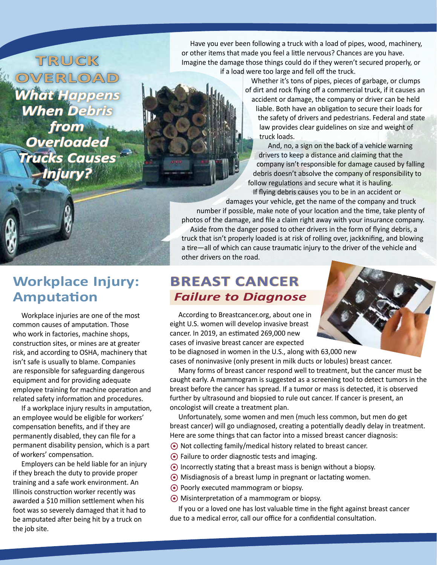**TRUCK OVERLOAD** *What Happens When Debris from Overloaded Trucks Causes Injury?*

Have you ever been following a truck with a load of pipes, wood, machinery, or other items that made you feel a little nervous? Chances are you have. Imagine the damage those things could do if they weren't secured properly, or if a load were too large and fell off the truck.

> Whether it's tons of pipes, pieces of garbage, or clumps of dirt and rock flying off a commercial truck, if it causes an accident or damage, the company or driver can be held liable. Both have an obligation to secure their loads for the safety of drivers and pedestrians. Federal and state law provides clear guidelines on size and weight of truck loads.

And, no, a sign on the back of a vehicle warning drivers to keep a distance and claiming that the company isn't responsible for damage caused by falling debris doesn't absolve the company of responsibility to follow regulations and secure what it is hauling.

 If flying debris causes you to be in an accident or damages your vehicle, get the name of the company and truck number if possible, make note of your location and the time, take plenty of photos of the damage, and file a claim right away with your insurance company. Aside from the danger posed to other drivers in the form of flying debris, a truck that isn't properly loaded is at risk of rolling over, jackknifing, and blowing a tire—all of which can cause traumatic injury to the driver of the vehicle and other drivers on the road.

#### **BREAST CANCER**  *Failure to Diagnose*

According to Breastcancer.org, about one in eight U.S. women will develop invasive breast cancer. In 2019, an estimated 269,000 new cases of invasive breast cancer are expected to be diagnosed in women in the U.S., along with 63,000 new

cases of noninvasive (only present in milk ducts or lobules) breast cancer.

Many forms of breast cancer respond well to treatment, but the cancer must be caught early. A mammogram is suggested as a screening tool to detect tumors in the breast before the cancer has spread. If a tumor or mass is detected, it is observed further by ultrasound and biopsied to rule out cancer. If cancer is present, an oncologist will create a treatment plan.

Unfortunately, some women and men (much less common, but men do get breast cancer) will go undiagnosed, creating a potentially deadly delay in treatment. Here are some things that can factor into a missed breast cancer diagnosis:

- Not collecting family/medical history related to breast cancer.
- Failure to order diagnostic tests and imaging.
- $\odot$  Incorrectly stating that a breast mass is benign without a biopsy.
- Misdiagnosis of a breast lump in pregnant or lactating women.
- ◆ Poorly executed mammogram or biopsy.
- Misinterpretation of a mammogram or biopsy.

If you or a loved one has lost valuable time in the fight against breast cancer due to a medical error, call our office for a confidential consultation.

### **Workplace Injury: Amputation**

Workplace injuries are one of the most common causes of amputation. Those who work in factories, machine shops, construction sites, or mines are at greater risk, and according to OSHA, machinery that isn't safe is usually to blame. Companies are responsible for safeguarding dangerous equipment and for providing adequate employee training for machine operation and related safety information and procedures.

If a workplace injury results in amputation, an employee would be eligible for workers' compensation benefits, and if they are permanently disabled, they can file for a permanent disability pension, which is a part of workers' compensation.

Employers can be held liable for an injury if they breach the duty to provide proper training and a safe work environment. An Illinois construction worker recently was awarded a \$10 million settlement when his foot was so severely damaged that it had to be amputated after being hit by a truck on the job site.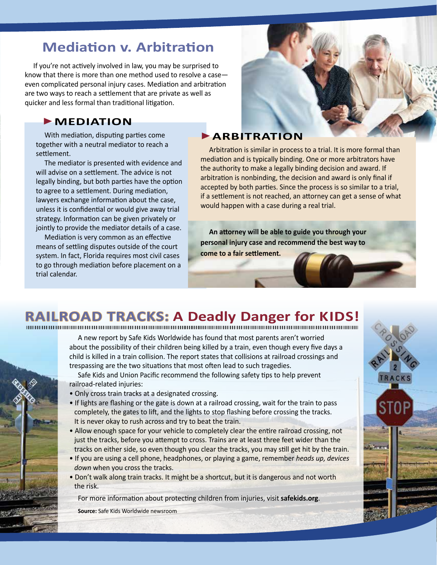### **Mediation v. Arbitration**

If you're not actively involved in law, you may be surprised to know that there is more than one method used to resolve a case even complicated personal injury cases. Mediation and arbitration are two ways to reach a settlement that are private as well as quicker and less formal than traditional litigation.

#### **MEDIATION**

With mediation, disputing parties come together with a neutral mediator to reach a settlement.

The mediator is presented with evidence and will advise on a settlement. The advice is not legally binding, but both parties have the option to agree to a settlement. During mediation, lawyers exchange information about the case, unless it is confidential or would give away trial strategy. Information can be given privately or jointly to provide the mediator details of a case.

Mediation is very common as an effective means of settling disputes outside of the court system. In fact, Florida requires most civil cases to go through mediation before placement on a trial calendar.



#### **ARBITRATION**

Arbitration is similar in process to a trial. It is more formal than mediation and is typically binding. One or more arbitrators have the authority to make a legally binding decision and award. If arbitration is nonbinding, the decision and award is only final if accepted by both parties. Since the process is so similar to a trial, if a settlement is not reached, an attorney can get a sense of what would happen with a case during a real trial.

**An attorney will be able to guide you through your personal injury case and recommend the best way to come to a fair settlement.**

## **RAILROAD TRACKS: A Deadly Danger for KIDS!**

A new report by Safe Kids Worldwide has found that most parents aren't worried about the possibility of their children being killed by a train, even though every five days a child is killed in a train collision. The report states that collisions at railroad crossings and trespassing are the two situations that most often lead to such tragedies.

Safe Kids and Union Pacific recommend the following safety tips to help prevent railroad-related injuries:

- Only cross train tracks at a designated crossing.
- If lights are flashing or the gate is down at a railroad crossing, wait for the train to pass completely, the gates to lift, and the lights to stop flashing before crossing the tracks. It is never okay to rush across and try to beat the train.
- Allow enough space for your vehicle to completely clear the entire railroad crossing, not just the tracks, before you attempt to cross. Trains are at least three feet wider than the tracks on either side, so even though you clear the tracks, you may still get hit by the train.
- If you are using a cell phone, headphones, or playing a game, remember *heads up, devices down* when you cross the tracks.
- Don't walk along train tracks. It might be a shortcut, but it is dangerous and not worth the risk.

For more information about protecting children from injuries, visit **safekids.org**.

**Source:** Safe Kids Worldwide newsroom